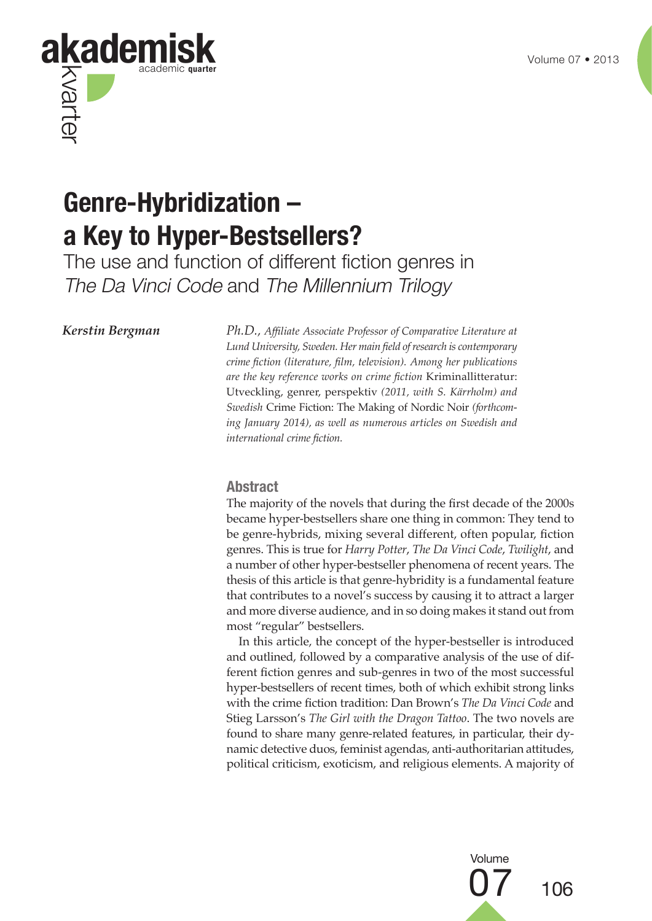

# **Genre-Hybridization – a Key to Hyper-Bestsellers?**

The use and function of different fiction genres in The Da Vinci Code and The Millennium Trilogy

*Kerstin Bergman Ph.D., Affiliate Associate Professor of Comparative Literature at Lund University, Sweden. Her main field of research is contemporary crime fiction (literature, film, television). Among her publications are the key reference works on crime fiction* Kriminallitteratur: Utveckling, genrer, perspektiv *(2011, with S. Kärrholm) and Swedish* Crime Fiction: The Making of Nordic Noir *(forthcoming January 2014), as well as numerous articles on Swedish and international crime fiction.*

#### **Abstract**

The majority of the novels that during the first decade of the 2000s became hyper-bestsellers share one thing in common: They tend to be genre-hybrids, mixing several different, often popular, fiction genres. This is true for *Harry Potter*, *The Da Vinci Code*, *Twilight*, and a number of other hyper-bestseller phenomena of recent years. The thesis of this article is that genre-hybridity is a fundamental feature that contributes to a novel's success by causing it to attract a larger and more diverse audience, and in so doing makes it stand out from most "regular" bestsellers.

In this article, the concept of the hyper-bestseller is introduced and outlined, followed by a comparative analysis of the use of different fiction genres and sub-genres in two of the most successful hyper-bestsellers of recent times, both of which exhibit strong links with the crime fiction tradition: Dan Brown's *The Da Vinci Code* and Stieg Larsson's *The Girl with the Dragon Tattoo*. The two novels are found to share many genre-related features, in particular, their dynamic detective duos, feminist agendas, anti-authoritarian attitudes, political criticism, exoticism, and religious elements. A majority of

> 07 <sup>106</sup> Volume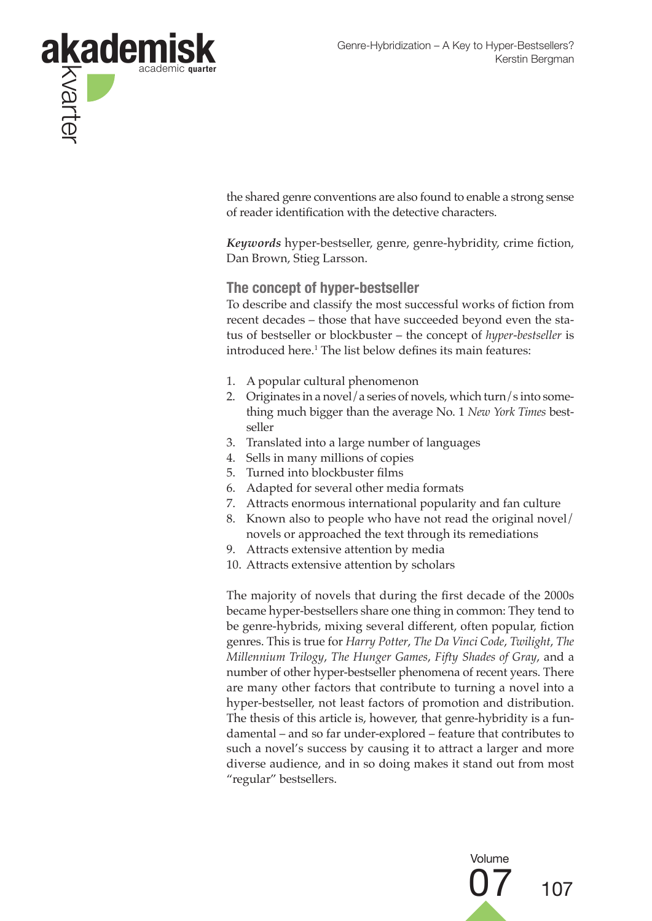

the shared genre conventions are also found to enable a strong sense of reader identification with the detective characters.

*Keywords* hyper-bestseller, genre, genre-hybridity, crime fiction, Dan Brown, Stieg Larsson.

#### **The concept of hyper-bestseller**

To describe and classify the most successful works of fiction from recent decades – those that have succeeded beyond even the status of bestseller or blockbuster – the concept of *hyper-bestseller* is introduced here.1 The list below defines its main features:

- 1. A popular cultural phenomenon
- 2. Originates in a novel/a series of novels, which turn/s into something much bigger than the average No. 1 *New York Times* bestseller
- 3. Translated into a large number of languages
- 4. Sells in many millions of copies
- 5. Turned into blockbuster films
- 6. Adapted for several other media formats
- 7. Attracts enormous international popularity and fan culture
- 8. Known also to people who have not read the original novel/ novels or approached the text through its remediations
- 9. Attracts extensive attention by media
- 10. Attracts extensive attention by scholars

The majority of novels that during the first decade of the 2000s became hyper-bestsellers share one thing in common: They tend to be genre-hybrids, mixing several different, often popular, fiction genres. This is true for *Harry Potter*, *The Da Vinci Code*, *Twilight*, *The Millennium Trilogy*, *The Hunger Games*, *Fifty Shades of Gray*, and a number of other hyper-bestseller phenomena of recent years. There are many other factors that contribute to turning a novel into a hyper-bestseller, not least factors of promotion and distribution. The thesis of this article is, however, that genre-hybridity is a fundamental – and so far under-explored – feature that contributes to such a novel's success by causing it to attract a larger and more diverse audience, and in so doing makes it stand out from most "regular" bestsellers.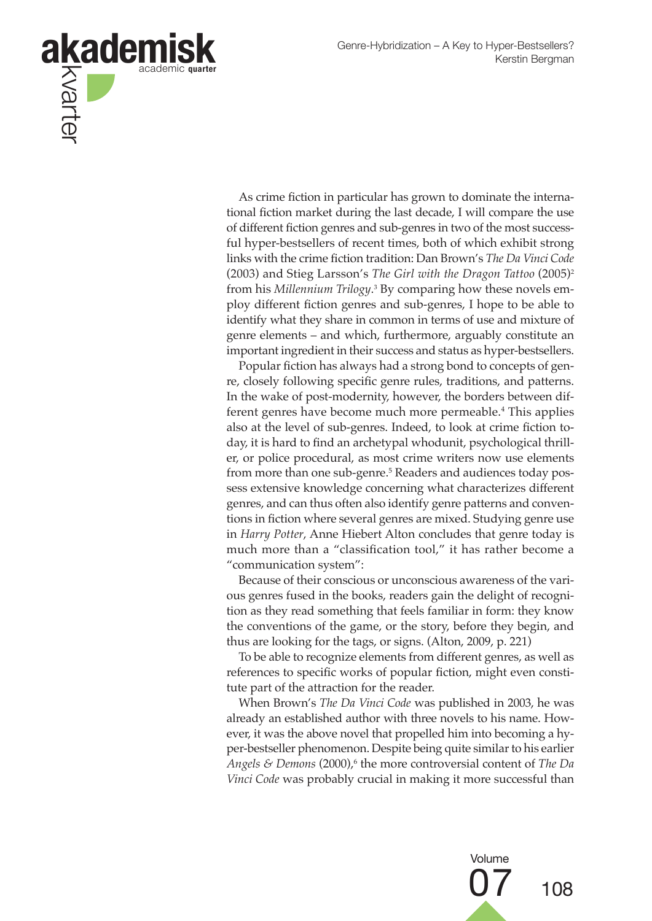

As crime fiction in particular has grown to dominate the international fiction market during the last decade, I will compare the use of different fiction genres and sub-genres in two of the most successful hyper-bestsellers of recent times, both of which exhibit strong links with the crime fiction tradition: Dan Brown's *The Da Vinci Code* (2003) and Stieg Larsson's *The Girl with the Dragon Tattoo* (2005)2 from his *Millennium Trilogy*. 3 By comparing how these novels employ different fiction genres and sub-genres, I hope to be able to identify what they share in common in terms of use and mixture of genre elements – and which, furthermore, arguably constitute an important ingredient in their success and status as hyper-bestsellers.

Popular fiction has always had a strong bond to concepts of genre, closely following specific genre rules, traditions, and patterns. In the wake of post-modernity, however, the borders between different genres have become much more permeable.<sup>4</sup> This applies also at the level of sub-genres. Indeed, to look at crime fiction today, it is hard to find an archetypal whodunit, psychological thriller, or police procedural, as most crime writers now use elements from more than one sub-genre.5 Readers and audiences today possess extensive knowledge concerning what characterizes different genres, and can thus often also identify genre patterns and conventions in fiction where several genres are mixed. Studying genre use in *Harry Potter*, Anne Hiebert Alton concludes that genre today is much more than a "classification tool," it has rather become a "communication system":

Because of their conscious or unconscious awareness of the various genres fused in the books, readers gain the delight of recognition as they read something that feels familiar in form: they know the conventions of the game, or the story, before they begin, and thus are looking for the tags, or signs. (Alton, 2009, p. 221)

To be able to recognize elements from different genres, as well as references to specific works of popular fiction, might even constitute part of the attraction for the reader.

When Brown's *The Da Vinci Code* was published in 2003, he was already an established author with three novels to his name. However, it was the above novel that propelled him into becoming a hyper-bestseller phenomenon. Despite being quite similar to his earlier *Angels & Demons* (2000),<sup>6</sup> the more controversial content of *The Da Vinci Code* was probably crucial in making it more successful than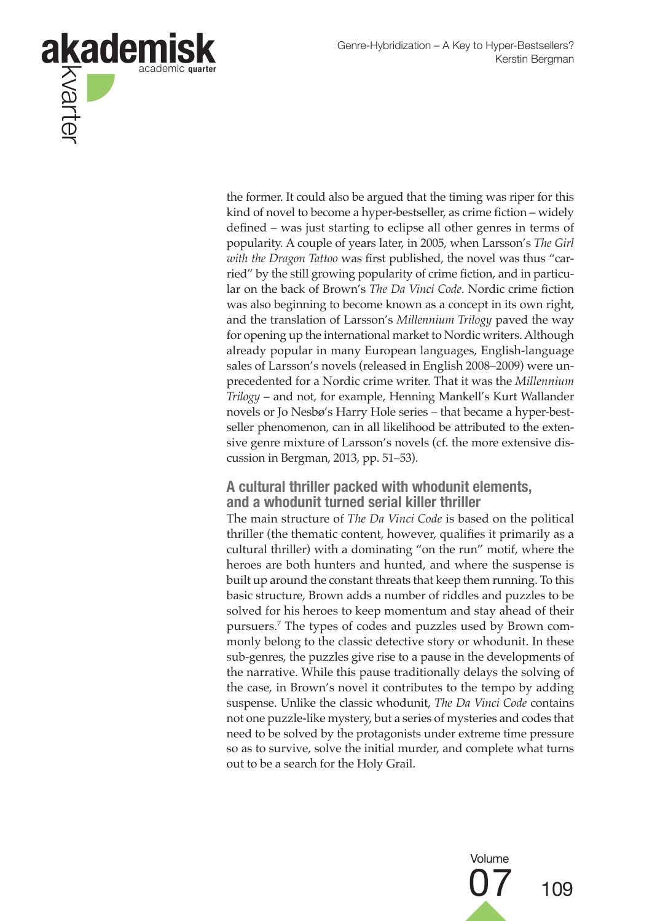

the former. It could also be argued that the timing was riper for this kind of novel to become a hyper-bestseller, as crime fiction – widely defined – was just starting to eclipse all other genres in terms of popularity. A couple of years later, in 2005, when Larsson's *The Girl with the Dragon Tattoo* was first published, the novel was thus "carried" by the still growing popularity of crime fiction, and in particular on the back of Brown's *The Da Vinci Code*. Nordic crime fiction was also beginning to become known as a concept in its own right, and the translation of Larsson's *Millennium Trilogy* paved the way for opening up the international market to Nordic writers. Although already popular in many European languages, English-language sales of Larsson's novels (released in English 2008–2009) were unprecedented for a Nordic crime writer. That it was the *Millennium Trilogy* – and not, for example, Henning Mankell's Kurt Wallander novels or Jo Nesbø's Harry Hole series – that became a hyper-bestseller phenomenon, can in all likelihood be attributed to the extensive genre mixture of Larsson's novels (cf. the more extensive discussion in Bergman, 2013, pp. 51–53).

### **A cultural thriller packed with whodunit elements, and a whodunit turned serial killer thriller**

The main structure of *The Da Vinci Code* is based on the political thriller (the thematic content, however, qualifies it primarily as a cultural thriller) with a dominating "on the run" motif, where the heroes are both hunters and hunted, and where the suspense is built up around the constant threats that keep them running. To this basic structure, Brown adds a number of riddles and puzzles to be solved for his heroes to keep momentum and stay ahead of their pursuers.7 The types of codes and puzzles used by Brown commonly belong to the classic detective story or whodunit. In these sub-genres, the puzzles give rise to a pause in the developments of the narrative. While this pause traditionally delays the solving of the case, in Brown's novel it contributes to the tempo by adding suspense. Unlike the classic whodunit, *The Da Vinci Code* contains not one puzzle-like mystery, but a series of mysteries and codes that need to be solved by the protagonists under extreme time pressure so as to survive, solve the initial murder, and complete what turns out to be a search for the Holy Grail.

Volume

07 <sup>109</sup>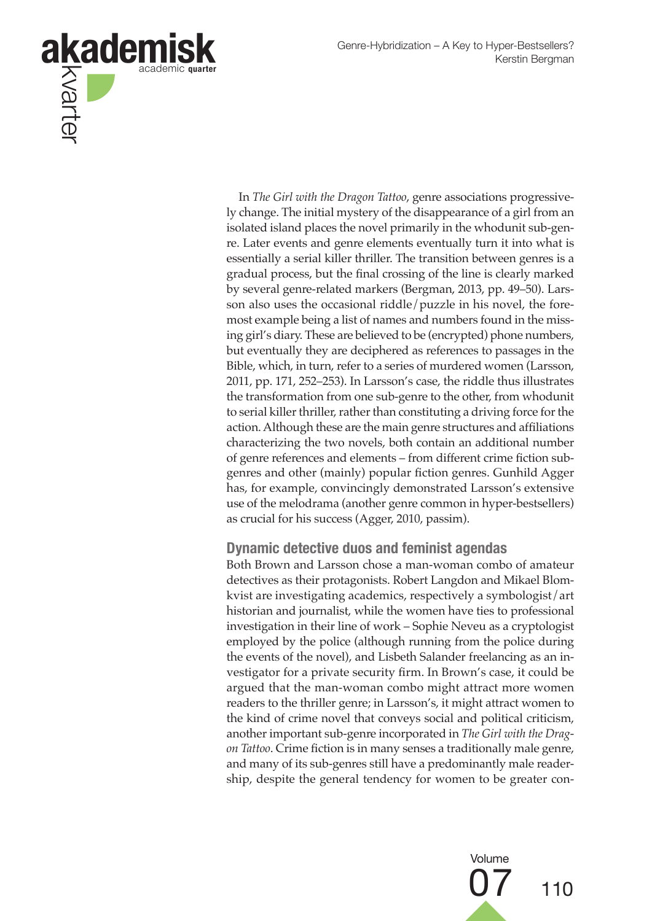

In *The Girl with the Dragon Tattoo*, genre associations progressively change. The initial mystery of the disappearance of a girl from an isolated island places the novel primarily in the whodunit sub-genre. Later events and genre elements eventually turn it into what is essentially a serial killer thriller. The transition between genres is a gradual process, but the final crossing of the line is clearly marked by several genre-related markers (Bergman, 2013, pp. 49–50). Larsson also uses the occasional riddle/puzzle in his novel, the foremost example being a list of names and numbers found in the missing girl's diary. These are believed to be (encrypted) phone numbers, but eventually they are deciphered as references to passages in the Bible, which, in turn, refer to a series of murdered women (Larsson, 2011, pp. 171, 252–253). In Larsson's case, the riddle thus illustrates the transformation from one sub-genre to the other, from whodunit to serial killer thriller, rather than constituting a driving force for the action. Although these are the main genre structures and affiliations characterizing the two novels, both contain an additional number of genre references and elements – from different crime fiction subgenres and other (mainly) popular fiction genres. Gunhild Agger has, for example, convincingly demonstrated Larsson's extensive use of the melodrama (another genre common in hyper-bestsellers) as crucial for his success (Agger, 2010, passim).

#### **Dynamic detective duos and feminist agendas**

Both Brown and Larsson chose a man-woman combo of amateur detectives as their protagonists. Robert Langdon and Mikael Blomkvist are investigating academics, respectively a symbologist/art historian and journalist, while the women have ties to professional investigation in their line of work – Sophie Neveu as a cryptologist employed by the police (although running from the police during the events of the novel), and Lisbeth Salander freelancing as an investigator for a private security firm. In Brown's case, it could be argued that the man-woman combo might attract more women readers to the thriller genre; in Larsson's, it might attract women to the kind of crime novel that conveys social and political criticism, another important sub-genre incorporated in *The Girl with the Dragon Tattoo*. Crime fiction is in many senses a traditionally male genre, and many of its sub-genres still have a predominantly male readership, despite the general tendency for women to be greater con-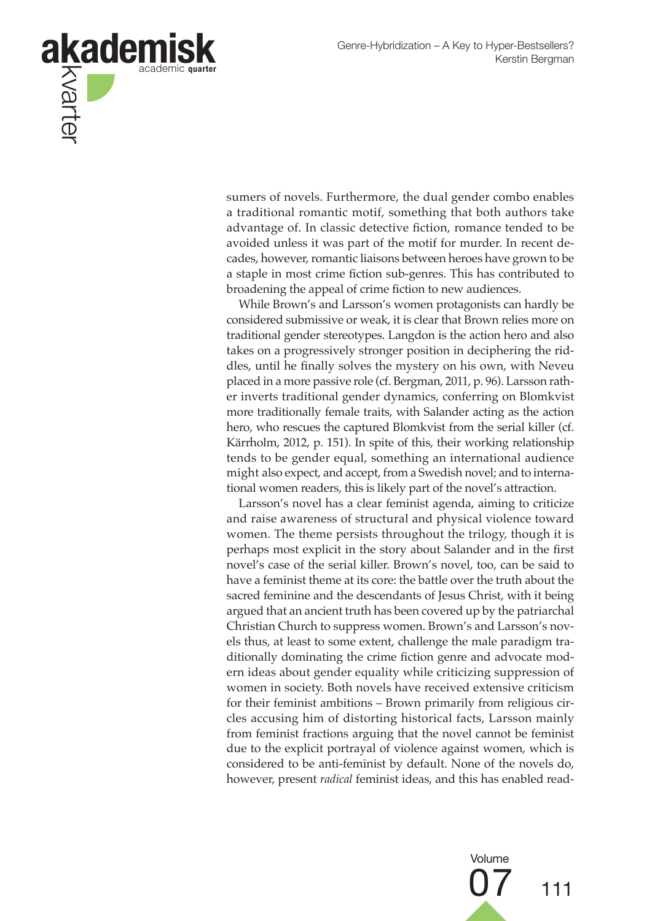

sumers of novels. Furthermore, the dual gender combo enables a traditional romantic motif, something that both authors take advantage of. In classic detective fiction, romance tended to be avoided unless it was part of the motif for murder. In recent decades, however, romantic liaisons between heroes have grown to be a staple in most crime fiction sub-genres. This has contributed to broadening the appeal of crime fiction to new audiences.

While Brown's and Larsson's women protagonists can hardly be considered submissive or weak, it is clear that Brown relies more on traditional gender stereotypes. Langdon is the action hero and also takes on a progressively stronger position in deciphering the riddles, until he finally solves the mystery on his own, with Neveu placed in a more passive role (cf. Bergman, 2011, p. 96). Larsson rather inverts traditional gender dynamics, conferring on Blomkvist more traditionally female traits, with Salander acting as the action hero, who rescues the captured Blomkvist from the serial killer (cf. Kärrholm, 2012, p. 151). In spite of this, their working relationship tends to be gender equal, something an international audience might also expect, and accept, from a Swedish novel; and to international women readers, this is likely part of the novel's attraction.

Larsson's novel has a clear feminist agenda, aiming to criticize and raise awareness of structural and physical violence toward women. The theme persists throughout the trilogy, though it is perhaps most explicit in the story about Salander and in the first novel's case of the serial killer. Brown's novel, too, can be said to have a feminist theme at its core: the battle over the truth about the sacred feminine and the descendants of Jesus Christ, with it being argued that an ancient truth has been covered up by the patriarchal Christian Church to suppress women. Brown's and Larsson's novels thus, at least to some extent, challenge the male paradigm traditionally dominating the crime fiction genre and advocate modern ideas about gender equality while criticizing suppression of women in society. Both novels have received extensive criticism for their feminist ambitions – Brown primarily from religious circles accusing him of distorting historical facts, Larsson mainly from feminist fractions arguing that the novel cannot be feminist due to the explicit portrayal of violence against women, which is considered to be anti-feminist by default. None of the novels do, however, present *radical* feminist ideas, and this has enabled read-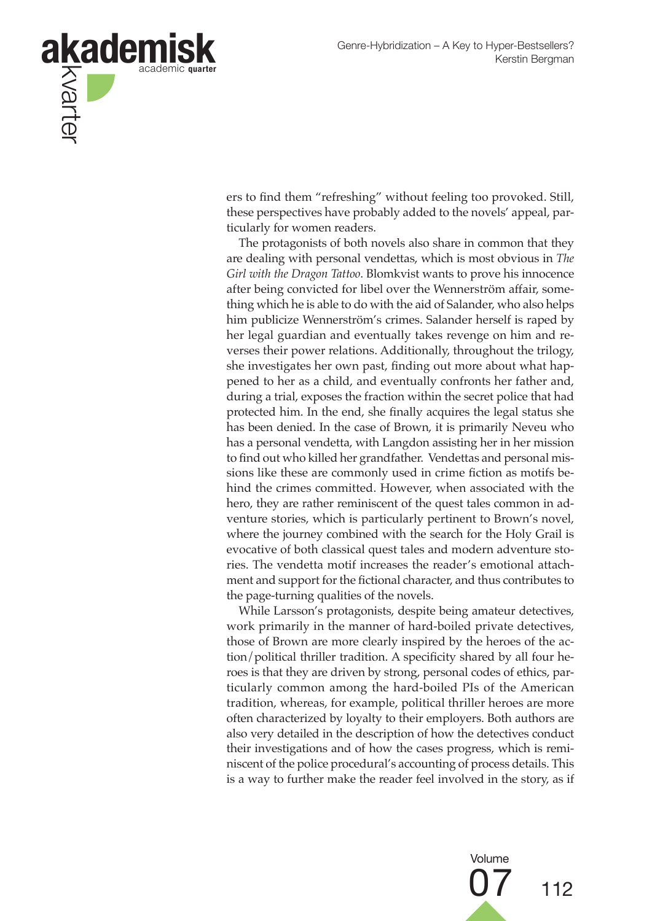

ers to find them "refreshing" without feeling too provoked. Still, these perspectives have probably added to the novels' appeal, particularly for women readers.

The protagonists of both novels also share in common that they are dealing with personal vendettas, which is most obvious in *The Girl with the Dragon Tattoo*. Blomkvist wants to prove his innocence after being convicted for libel over the Wennerström affair, something which he is able to do with the aid of Salander, who also helps him publicize Wennerström's crimes. Salander herself is raped by her legal guardian and eventually takes revenge on him and reverses their power relations. Additionally, throughout the trilogy, she investigates her own past, finding out more about what happened to her as a child, and eventually confronts her father and, during a trial, exposes the fraction within the secret police that had protected him. In the end, she finally acquires the legal status she has been denied. In the case of Brown, it is primarily Neveu who has a personal vendetta, with Langdon assisting her in her mission to find out who killed her grandfather. Vendettas and personal missions like these are commonly used in crime fiction as motifs behind the crimes committed. However, when associated with the hero, they are rather reminiscent of the quest tales common in adventure stories, which is particularly pertinent to Brown's novel, where the journey combined with the search for the Holy Grail is evocative of both classical quest tales and modern adventure stories. The vendetta motif increases the reader's emotional attachment and support for the fictional character, and thus contributes to the page-turning qualities of the novels.

While Larsson's protagonists, despite being amateur detectives, work primarily in the manner of hard-boiled private detectives, those of Brown are more clearly inspired by the heroes of the action/political thriller tradition. A specificity shared by all four heroes is that they are driven by strong, personal codes of ethics, particularly common among the hard-boiled PIs of the American tradition, whereas, for example, political thriller heroes are more often characterized by loyalty to their employers. Both authors are also very detailed in the description of how the detectives conduct their investigations and of how the cases progress, which is reminiscent of the police procedural's accounting of process details. This is a way to further make the reader feel involved in the story, as if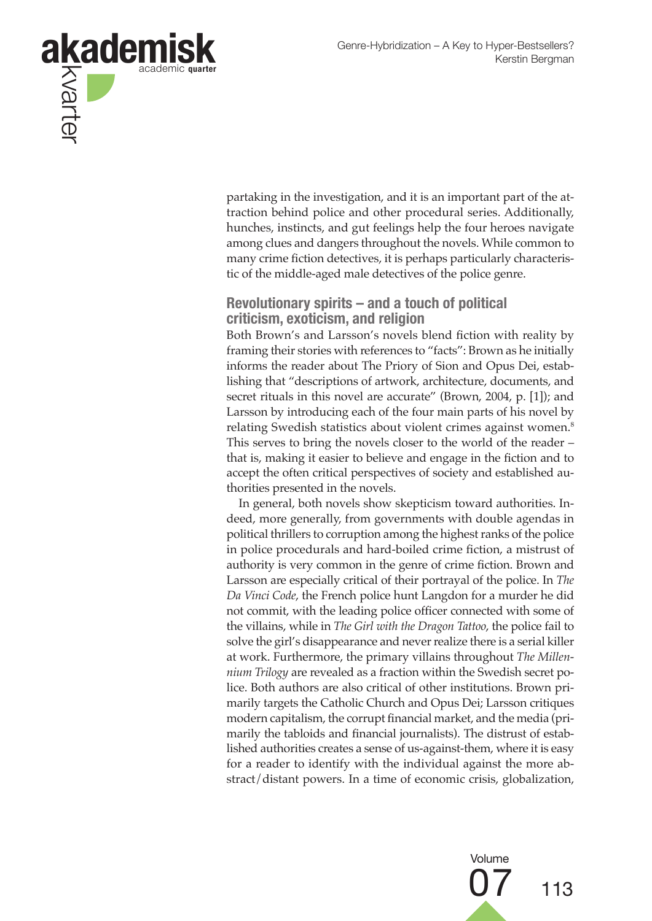

partaking in the investigation, and it is an important part of the attraction behind police and other procedural series. Additionally, hunches, instincts, and gut feelings help the four heroes navigate among clues and dangers throughout the novels. While common to many crime fiction detectives, it is perhaps particularly characteristic of the middle-aged male detectives of the police genre.

#### **Revolutionary spirits – and a touch of political criticism, exoticism, and religion**

Both Brown's and Larsson's novels blend fiction with reality by framing their stories with references to "facts": Brown as he initially informs the reader about The Priory of Sion and Opus Dei, establishing that "descriptions of artwork, architecture, documents, and secret rituals in this novel are accurate" (Brown, 2004, p. [1]); and Larsson by introducing each of the four main parts of his novel by relating Swedish statistics about violent crimes against women.8 This serves to bring the novels closer to the world of the reader – that is, making it easier to believe and engage in the fiction and to accept the often critical perspectives of society and established authorities presented in the novels.

In general, both novels show skepticism toward authorities. Indeed, more generally, from governments with double agendas in political thrillers to corruption among the highest ranks of the police in police procedurals and hard-boiled crime fiction, a mistrust of authority is very common in the genre of crime fiction. Brown and Larsson are especially critical of their portrayal of the police. In *The Da Vinci Code*, the French police hunt Langdon for a murder he did not commit, with the leading police officer connected with some of the villains, while in *The Girl with the Dragon Tattoo*, the police fail to solve the girl's disappearance and never realize there is a serial killer at work. Furthermore, the primary villains throughout *The Millennium Trilogy* are revealed as a fraction within the Swedish secret police. Both authors are also critical of other institutions. Brown primarily targets the Catholic Church and Opus Dei; Larsson critiques modern capitalism, the corrupt financial market, and the media (primarily the tabloids and financial journalists). The distrust of established authorities creates a sense of us-against-them, where it is easy for a reader to identify with the individual against the more abstract/distant powers. In a time of economic crisis, globalization,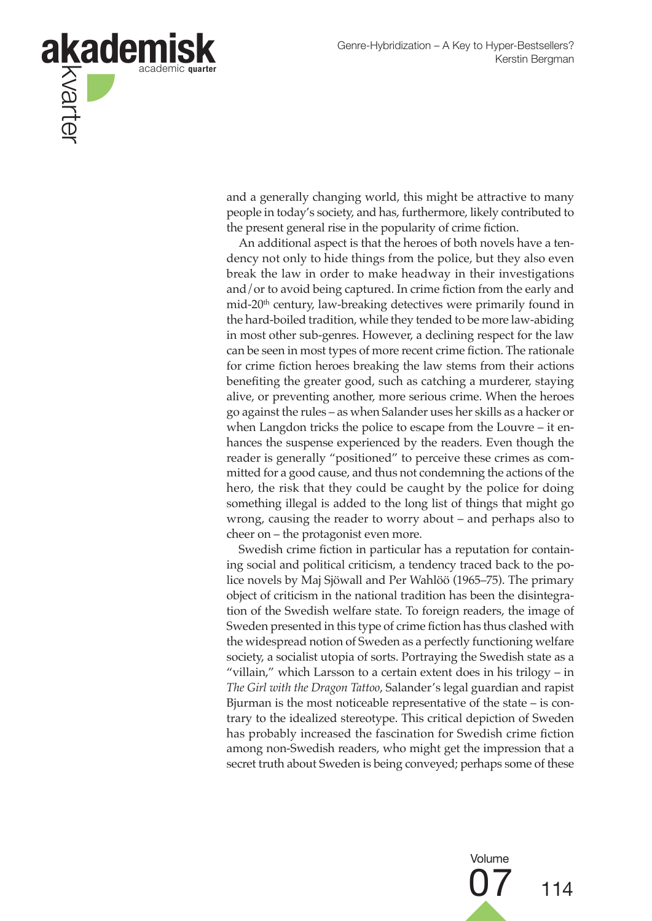

and a generally changing world, this might be attractive to many people in today's society, and has, furthermore, likely contributed to the present general rise in the popularity of crime fiction.

An additional aspect is that the heroes of both novels have a tendency not only to hide things from the police, but they also even break the law in order to make headway in their investigations and/or to avoid being captured. In crime fiction from the early and mid-20<sup>th</sup> century, law-breaking detectives were primarily found in the hard-boiled tradition, while they tended to be more law-abiding in most other sub-genres. However, a declining respect for the law can be seen in most types of more recent crime fiction. The rationale for crime fiction heroes breaking the law stems from their actions benefiting the greater good, such as catching a murderer, staying alive, or preventing another, more serious crime. When the heroes go against the rules – as when Salander uses her skills as a hacker or when Langdon tricks the police to escape from the Louvre – it enhances the suspense experienced by the readers. Even though the reader is generally "positioned" to perceive these crimes as committed for a good cause, and thus not condemning the actions of the hero, the risk that they could be caught by the police for doing something illegal is added to the long list of things that might go wrong, causing the reader to worry about – and perhaps also to cheer on – the protagonist even more.

Swedish crime fiction in particular has a reputation for containing social and political criticism, a tendency traced back to the police novels by Maj Sjöwall and Per Wahlöö (1965–75). The primary object of criticism in the national tradition has been the disintegration of the Swedish welfare state. To foreign readers, the image of Sweden presented in this type of crime fiction has thus clashed with the widespread notion of Sweden as a perfectly functioning welfare society, a socialist utopia of sorts. Portraying the Swedish state as a "villain," which Larsson to a certain extent does in his trilogy – in *The Girl with the Dragon Tattoo*, Salander's legal guardian and rapist Bjurman is the most noticeable representative of the state – is contrary to the idealized stereotype. This critical depiction of Sweden has probably increased the fascination for Swedish crime fiction among non-Swedish readers, who might get the impression that a secret truth about Sweden is being conveyed; perhaps some of these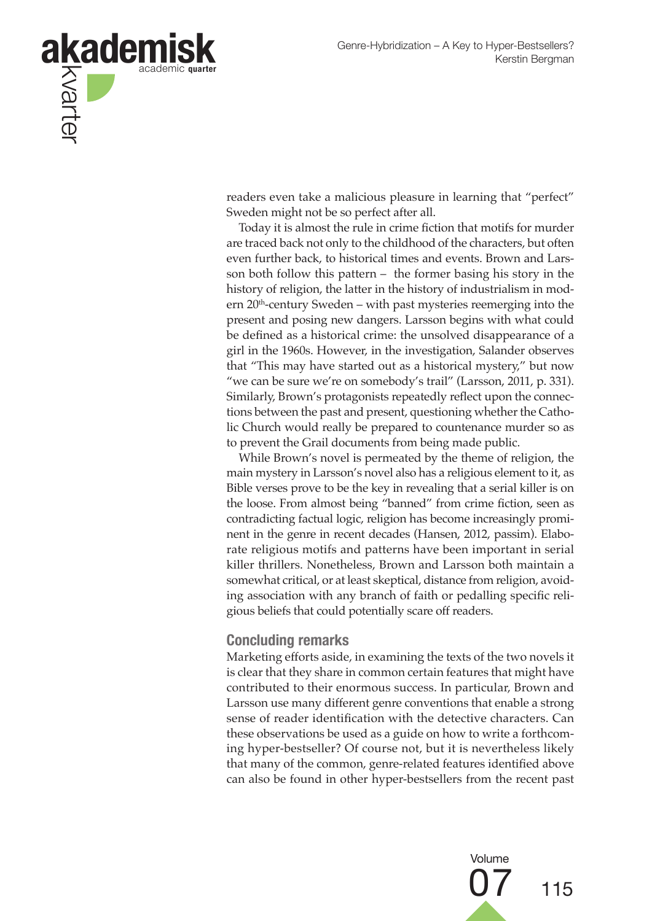

readers even take a malicious pleasure in learning that "perfect" Sweden might not be so perfect after all.

Today it is almost the rule in crime fiction that motifs for murder are traced back not only to the childhood of the characters, but often even further back, to historical times and events. Brown and Larsson both follow this pattern – the former basing his story in the history of religion, the latter in the history of industrialism in modern 20<sup>th</sup>-century Sweden – with past mysteries reemerging into the present and posing new dangers. Larsson begins with what could be defined as a historical crime: the unsolved disappearance of a girl in the 1960s. However, in the investigation, Salander observes that "This may have started out as a historical mystery," but now "we can be sure we're on somebody's trail" (Larsson, 2011, p. 331). Similarly, Brown's protagonists repeatedly reflect upon the connections between the past and present, questioning whether the Catholic Church would really be prepared to countenance murder so as to prevent the Grail documents from being made public.

While Brown's novel is permeated by the theme of religion, the main mystery in Larsson's novel also has a religious element to it, as Bible verses prove to be the key in revealing that a serial killer is on the loose. From almost being "banned" from crime fiction, seen as contradicting factual logic, religion has become increasingly prominent in the genre in recent decades (Hansen, 2012, passim). Elaborate religious motifs and patterns have been important in serial killer thrillers. Nonetheless, Brown and Larsson both maintain a somewhat critical, or at least skeptical, distance from religion, avoiding association with any branch of faith or pedalling specific religious beliefs that could potentially scare off readers.

#### **Concluding remarks**

Marketing efforts aside, in examining the texts of the two novels it is clear that they share in common certain features that might have contributed to their enormous success. In particular, Brown and Larsson use many different genre conventions that enable a strong sense of reader identification with the detective characters. Can these observations be used as a guide on how to write a forthcoming hyper-bestseller? Of course not, but it is nevertheless likely that many of the common, genre-related features identified above can also be found in other hyper-bestsellers from the recent past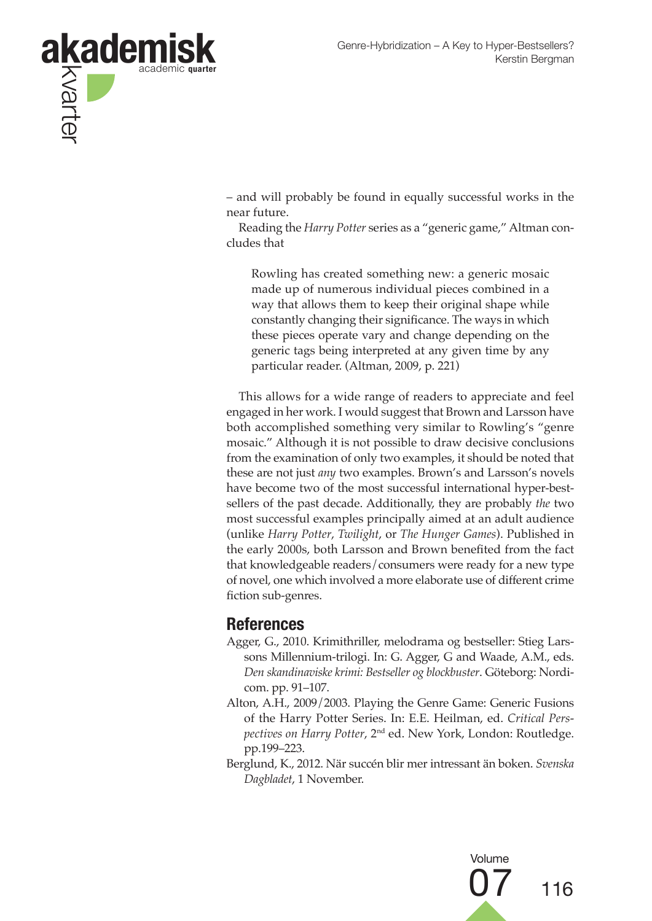

– and will probably be found in equally successful works in the near future.

Reading the *Harry Potter* series as a "generic game," Altman concludes that

Rowling has created something new: a generic mosaic made up of numerous individual pieces combined in a way that allows them to keep their original shape while constantly changing their significance. The ways in which these pieces operate vary and change depending on the generic tags being interpreted at any given time by any particular reader. (Altman, 2009, p. 221)

This allows for a wide range of readers to appreciate and feel engaged in her work. I would suggest that Brown and Larsson have both accomplished something very similar to Rowling's "genre mosaic." Although it is not possible to draw decisive conclusions from the examination of only two examples, it should be noted that these are not just *any* two examples. Brown's and Larsson's novels have become two of the most successful international hyper-bestsellers of the past decade. Additionally, they are probably *the* two most successful examples principally aimed at an adult audience (unlike *Harry Potter*, *Twilight*, or *The Hunger Games*). Published in the early 2000s, both Larsson and Brown benefited from the fact that knowledgeable readers/consumers were ready for a new type of novel, one which involved a more elaborate use of different crime fiction sub-genres.

## **References**

- Agger, G., 2010. Krimithriller, melodrama og bestseller: Stieg Larssons Millennium-trilogi. In: G. Agger, G and Waade, A.M., eds. *Den skandinaviske krimi: Bestseller og blockbuster*. Göteborg: Nordicom. pp. 91–107.
- Alton, A.H., 2009/2003. Playing the Genre Game: Generic Fusions of the Harry Potter Series. In: E.E. Heilman, ed. *Critical Perspectives on Harry Potter*, 2nd ed. New York, London: Routledge. pp.199–223.
- Berglund, K., 2012. När succén blir mer intressant än boken. *Svenska Dagbladet*, 1 November.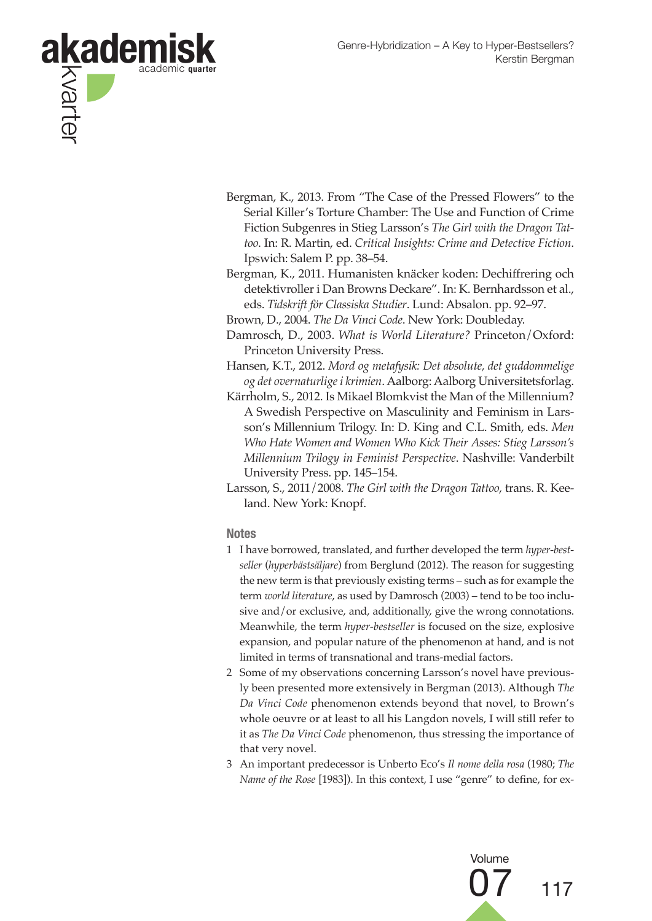

- Bergman, K., 2013. From "The Case of the Pressed Flowers" to the Serial Killer's Torture Chamber: The Use and Function of Crime Fiction Subgenres in Stieg Larsson's *The Girl with the Dragon Tattoo*. In: R. Martin, ed. *Critical Insights: Crime and Detective Fiction*. Ipswich: Salem P. pp. 38–54.
- Bergman, K., 2011. Humanisten knäcker koden: Dechiffrering och detektivroller i Dan Browns Deckare". In: K. Bernhardsson et al., eds. *Tidskrift för Classiska Studier*. Lund: Absalon. pp. 92–97.
- Brown, D., 2004. *The Da Vinci Code*. New York: Doubleday.
- Damrosch, D., 2003. *What is World Literature?* Princeton/Oxford: Princeton University Press.
- Hansen, K.T., 2012. *Mord og metafysik: Det absolute, det guddommelige og det overnaturlige i krimien*. Aalborg: Aalborg Universitetsforlag.
- Kärrholm, S., 2012. Is Mikael Blomkvist the Man of the Millennium? A Swedish Perspective on Masculinity and Feminism in Larsson's Millennium Trilogy. In: D. King and C.L. Smith, eds. *Men Who Hate Women and Women Who Kick Their Asses: Stieg Larsson's Millennium Trilogy in Feminist Perspective*. Nashville: Vanderbilt University Press. pp. 145–154.
- Larsson, S., 2011/2008. *The Girl with the Dragon Tattoo*, trans. R. Keeland. New York: Knopf.

#### **Notes**

- 1 I have borrowed, translated, and further developed the term *hyper-bestseller* (*hyperbästsäljare*) from Berglund (2012). The reason for suggesting the new term is that previously existing terms – such as for example the term *world literature*, as used by Damrosch (2003) – tend to be too inclusive and/or exclusive, and, additionally, give the wrong connotations. Meanwhile, the term *hyper-bestseller* is focused on the size, explosive expansion, and popular nature of the phenomenon at hand, and is not limited in terms of transnational and trans-medial factors.
- 2 Some of my observations concerning Larsson's novel have previously been presented more extensively in Bergman (2013). Although *The Da Vinci Code* phenomenon extends beyond that novel, to Brown's whole oeuvre or at least to all his Langdon novels, I will still refer to it as *The Da Vinci Code* phenomenon, thus stressing the importance of that very novel.
- 3 An important predecessor is Unberto Eco's *Il nome della rosa* (1980; *The Name of the Rose* [1983]). In this context, I use "genre" to define, for ex-